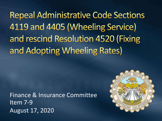**Repeal Administrative Code Sections** 4119 and 4405 (Wheeling Service) and rescind Resolution 4520 (Fixing and Adopting Wheeling Rates)

Finance & Insurance Committee Item 7-9 August 17, 2020

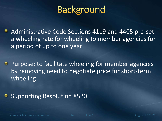# **Background**

**Administrative Code Sections 4119 and 4405 pre-set** a wheeling rate for wheeling to member agencies for a period of up to one year

**Purpose: to facilitate wheeling for member agencies** by removing need to negotiate price for short-term wheeling

#### Supporting Resolution 8520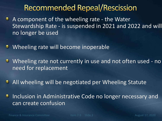### **Recommended Repeal/Rescission**

- **A component of the wheeling rate the Water** Stewardship Rate - is suspended in 2021 and 2022 and will no longer be used
- **Wheeling rate will become inoperable**
- **U** Wheeling rate not currently in use and not often used no need for replacement
- **All wheeling will be negotiated per Wheeling Statute**

Inclusion in Administrative Code no longer necessary and  $\bullet$ can create confusion

Finance & Insurance Committee Item 7-9 Slide 3 August 17, 2020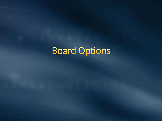# **Board Options**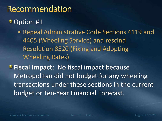## Recommendation

### • Option #1

• Repeal Administrative Code Sections 4119 and 4405 (Wheeling Service) and rescind Resolution 8520 (Fixing and Adopting Wheeling Rates)

**Fiscal Impact**: No fiscal impact because Metropolitan did not budget for any wheeling transactions under these sections in the current budget or Ten-Year Financial Forecast.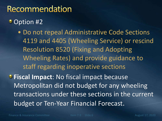## Recommendation

### **Option #2**

• Do not repeal Administrative Code Sections 4119 and 4405 (Wheeling Service) or rescind Resolution 8520 (Fixing and Adopting Wheeling Rates) and provide guidance to staff regarding inoperative sections **Fiscal Impact**: No fiscal impact because Metropolitan did not budget for any wheeling transactions under these sections in the current budget or Ten-Year Financial Forecast.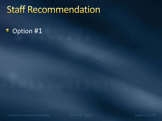# **Staff Recommendation**

#### Option #1 ۰

Finance & Insurance Committee Item 7-9 Slide 7 August 17, 2020